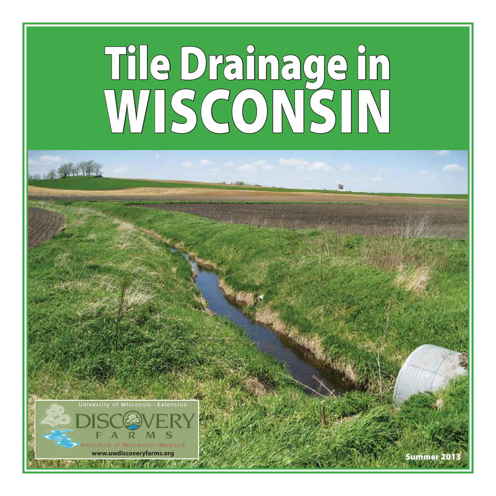# Tile Drainage in WISCONSIN



www.uwdiscoveryfarms.org S**ummer 20**1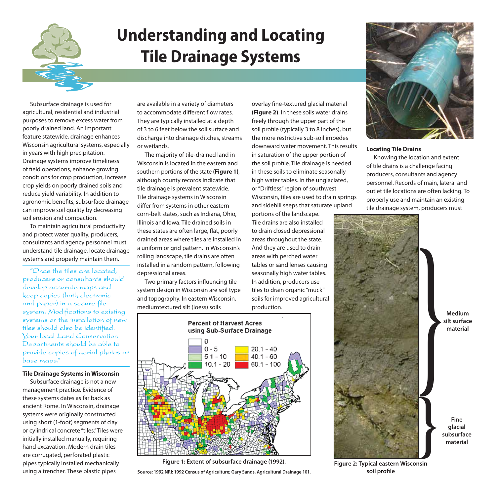

## **Understanding and Locating Tile Drainage Systems**

Subsurface drainage is used for agricultural, residential and industrial purposes to remove excess water from poorly drained land. An important feature statewide, drainage enhances Wisconsin agricultural systems, especially in years with high precipitation. Drainage systems improve timeliness of field operations, enhance growing conditions for crop production, increase crop yields on poorly drained soils and reduce yield variability. In addition to agronomic benefits, subsurface drainage can improve soil quality by decreasing soil erosion and compaction.

To maintain agricultural productivity and protect water quality, producers, consultants and agency personnel must understand tile drainage, locate drainage systems and properly maintain them.

"Once the tiles are located, producers or consultants should develop accurate maps and keep copies (both electronic and paper) in a secure file system. Modifications to existing systems or the installation of new tiles should also be identified. Your local Land Conservation Departments should be able to provide copies of aerial photos or base maps."

#### **Tile Drainage Systems in Wisconsin**

Subsurface drainage is not a new management practice. Evidence of these systems dates as far back as ancient Rome. In Wisconsin, drainage systems were originally constructed using short (1-foot) segments of clay or cylindrical concrete "tiles." Tiles were initially installed manually, requiring hand excavation. Modern drain tiles are corrugated, perforated plastic pipes typically installed mechanically using a trencher. These plastic pipes

are available in a variety of diameters to accommodate different flow rates. They are typically installed at a depth of 3 to 6 feet below the soil surface and discharge into drainage ditches, streams or wetlands.

The majority of tile-drained land in Wisconsin is located in the eastern and southern portions of the state **(Figure 1)**, although county records indicate that tile drainage is prevalent statewide. Tile drainage systems in Wisconsin differ from systems in other eastern corn-belt states, such as Indiana, Ohio, Illinois and Iowa. Tile drained soils in these states are often large, flat, poorly drained areas where tiles are installed in a uniform or grid pattern. In Wisconsin's rolling landscape, tile drains are often installed in a random pattern, following depressional areas.

Two primary factors influencing tile system design in Wisconsin are soil type and topography. In eastern Wisconsin, mediumtextured silt (loess) soils

overlay fine-textured glacial material **(Figure 2)**. In these soils water drains freely through the upper part of the soil profile (typically 3 to 8 inches), but the more restrictive sub-soil impedes downward water movement. This results in saturation of the upper portion of the soil profile. Tile drainage is needed in these soils to eliminate seasonally high water tables. In the unglaciated, or "Driftless" region of southwest Wisconsin, tiles are used to drain springs and sidehill seeps that saturate upland

portions of the landscape. Tile drains are also installed to drain closed depressional areas throughout the state. And they are used to drain areas with perched water tables or sand lenses causing seasonally high water tables. In addition, producers use tiles to drain organic "muck" soils for improved agricultural production.



**Figure 1: Extent of subsurface drainage (1992).**

**Source: 1992 NRI: 1992 Census of Agriculture; Gary Sands, Agricultural Drainage 101.**



#### **Locating Tile Drains**

Knowing the location and extent of tile drains is a challenge facing producers, consultants and agency personnel. Records of main, lateral and outlet tile locations are often lacking. To properly use and maintain an existing tile drainage system, producers must



**Figure 2: Typical eastern Wisconsin soil profile**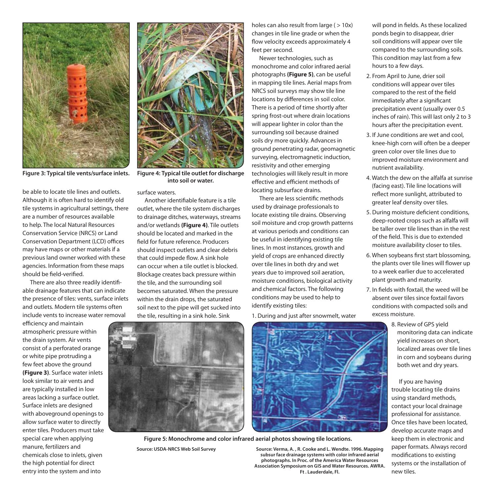

be able to locate tile lines and outlets. Although it is often hard to identify old tile systems in agricultural settings, there are a number of resources available to help. The local Natural Resources Conservation Service (NRCS) or Land Conservation Department (LCD) offices may have maps or other materials if a previous land owner worked with these agencies. Information from these maps should be field-verified.

There are also three readily identifiable drainage features that can indicate the presence of tiles: vents, surface inlets and outlets. Modern tile systems often include vents to increase water removal

efficiency and maintain atmospheric pressure within the drain system. Air vents consist of a perforated orange or white pipe protruding a few feet above the ground **(Figure 3)**. Surface water inlets look similar to air vents and are typically installed in low areas lacking a surface outlet. Surface inlets are designed with aboveground openings to allow surface water to directly enter tiles. Producers must take special care when applying manure, fertilizers and chemicals close to inlets, given the high potential for direct entry into the system and into



**Figure 3: Typical tile vents/surface inlets. Figure 4: Typical tile outlet for discharge into soil or water.**

#### surface waters.

Another identifiable feature is a tile outlet, where the tile system discharges to drainage ditches, waterways, streams and/or wetlands **(Figure 4)**. Tile outlets should be located and marked in the field for future reference. Producers should inspect outlets and clear debris that could impede flow. A sink hole can occur when a tile outlet is blocked. Blockage creates back pressure within the tile, and the surrounding soil becomes saturated. When the pressure within the drain drops, the saturated soil next to the pipe will get sucked into the tile, resulting in a sink hole. Sink

holes can also result from large  $($  > 10x) changes in tile line grade or when the flow velocity exceeds approximately 4 feet per second.

Newer technologies, such as monochrome and color infrared aerial photographs **(Figure 5)**, can be useful in mapping tile lines. Aerial maps from NRCS soil surveys may show tile line locations by differences in soil color. There is a period of time shortly after spring frost-out where drain locations will appear lighter in color than the surrounding soil because drained soils dry more quickly. Advances in ground penetrating radar, geomagnetic surveying, electromagnetic induction, resistivity and other emerging technologies will likely result in more effective and efficient methods of locating subsurface drains.

There are less scientific methods used by drainage professionals to locate existing tile drains. Observing soil moisture and crop growth patterns at various periods and conditions can be useful in identifying existing tile lines. In most instances, growth and yield of crops are enhanced directly over tile lines in both dry and wet years due to improved soil aeration, moisture conditions, biological activity and chemical factors. The following conditions may be used to help to identify existing tiles:

1. During and just after snowmelt, water



**Source: Verma, A. , R. Cooke and L. Wendte. 1996. Mapping Figure 5: Monochrome and color infrared aerial photos showing tile locations. Source: USDA-NRCS Web Soil Survey**

**subsur face drainage systems with color infrared aerial photographs. In Proc. of the America Water Resources Association Symposium on GIS and Water Resources. AWRA. Ft . Lauderdale, Fl.**

will pond in fields. As these localized ponds begin to disappear, drier soil conditions will appear over tile compared to the surrounding soils. This condition may last from a few hours to a few days.

- 2. From April to June, drier soil conditions will appear over tiles compared to the rest of the field immediately after a significant precipitation event (usually over 0.5 inches of rain). This will last only 2 to 3 hours after the precipitation event.
- 3. If June conditions are wet and cool, knee-high corn will often be a deeper green color over tile lines due to improved moisture environment and nutrient availability.
- 4. Watch the dew on the alfalfa at sunrise (facing east). Tile line locations will reflect more sunlight, attributed to greater leaf density over tiles.
- 5. During moisture deficient conditions, deep-rooted crops such as alfalfa will be taller over tile lines than in the rest of the field. This is due to extended moisture availability closer to tiles.
- 6. When soybeans first start blossoming, the plants over tile lines will flower up to a week earlier due to accelerated plant growth and maturity.
- 7. In fields with foxtail, the weed will be absent over tiles since foxtail favors conditions with compacted soils and excess moisture.
	- 8. Review of GPS yield monitoring data can indicate yield increases on short, localized areas over tile lines in corn and soybeans during both wet and dry years.

If you are having trouble locating tile drains using standard methods, contact your local drainage professional for assistance. Once tiles have been located, develop accurate maps and keep them in electronic and paper formats. Always record modifications to existing systems or the installation of new tiles.

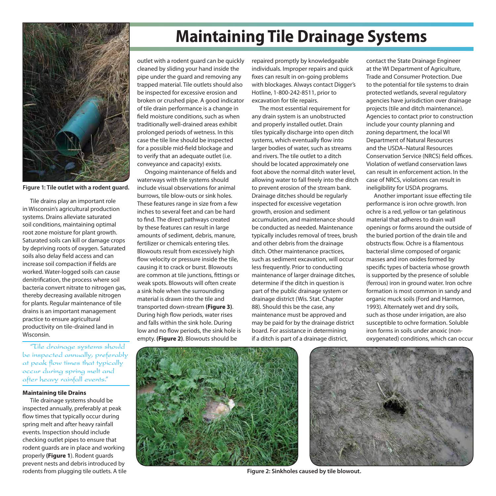

**Figure 1: Tile outlet with a rodent guard.**

Tile drains play an important role in Wisconsin's agricultural production systems. Drains alleviate saturated soil conditions, maintaining optimal root zone moisture for plant growth. Saturated soils can kill or damage crops by depriving roots of oxygen. Saturated soils also delay field access and can increase soil compaction if fields are worked. Water-logged soils can cause denitrification, the process where soil bacteria convert nitrate to nitrogen gas, thereby decreasing available nitrogen for plants. Regular maintenance of tile drains is an important management practice to ensure agricultural productivity on tile-drained land in Wisconsin.

"Tile drainage systems should be inspected annually, preferably at peak flow times that typically occur during spring melt and after heavy rainfall events."

#### **Maintaining tile Drains**

Tile drainage systems should be inspected annually, preferably at peak flow times that typically occur during spring melt and after heavy rainfall events. Inspection should include checking outlet pipes to ensure that rodent guards are in place and working properly **(Figure 1**). Rodent guards prevent nests and debris introduced by rodents from plugging tile outlets. A tile

## **Maintaining Tile Drainage Systems**

outlet with a rodent guard can be quickly cleaned by sliding your hand inside the pipe under the guard and removing any trapped material. Tile outlets should also be inspected for excessive erosion and broken or crushed pipe. A good indicator of tile drain performance is a change in field moisture conditions, such as when traditionally well-drained areas exhibit prolonged periods of wetness. In this case the tile line should be inspected for a possible mid-field blockage and to verify that an adequate outlet (i.e. conveyance and capacity) exists.

Ongoing maintenance of fields and waterways with tile systems should include visual observations for animal burrows, tile blow-outs or sink holes. These features range in size from a few inches to several feet and can be hard to find. The direct pathways created by these features can result in large amounts of sediment, debris, manure, fertilizer or chemicals entering tiles. Blowouts result from excessively high flow velocity or pressure inside the tile, causing it to crack or burst. Blowouts are common at tile junctions, fittings or weak spots. Blowouts will often create a sink hole when the surrounding material is drawn into the tile and transported down-stream **(Figure 3)**. During high flow periods, water rises and falls within the sink hole. During low and no flow periods, the sink hole is empty. **(Figure 2)**. Blowouts should be

repaired promptly by knowledgeable individuals. Improper repairs and quick fixes can result in on-going problems with blockages. Always contact Digger's Hotline, 1-800-242-8511, prior to excavation for tile repairs.

The most essential requirement for any drain system is an unobstructed and properly installed outlet. Drain tiles typically discharge into open ditch systems, which eventually flow into larger bodies of water, such as streams and rivers. The tile outlet to a ditch should be located approximately one foot above the normal ditch water level, allowing water to fall freely into the ditch to prevent erosion of the stream bank. Drainage ditches should be regularly inspected for excessive vegetation growth, erosion and sediment accumulation, and maintenance should be conducted as needed. Maintenance typically includes removal of trees, brush and other debris from the drainage ditch. Other maintenance practices, such as sediment excavation, will occur less frequently. Prior to conducting maintenance of larger drainage ditches, determine if the ditch in question is part of the public drainage system or drainage district (Wis. Stat. Chapter 88). Should this be the case, any maintenance must be approved and may be paid for by the drainage district board. For assistance in determining if a ditch is part of a drainage district,

contact the State Drainage Engineer at the WI Department of Agriculture, Trade and Consumer Protection. Due to the potential for tile systems to drain protected wetlands, several regulatory agencies have jurisdiction over drainage projects (tile and ditch maintenance). Agencies to contact prior to construction include your county planning and zoning department, the local WI Department of Natural Resources and the USDA–Natural Resources Conservation Service (NRCS) field offices. Violation of wetland conservation laws can result in enforcement action. In the case of NRCS, violations can result in ineligibility for USDA programs.

Another important issue effecting tile performance is iron ochre growth. Iron ochre is a red, yellow or tan gelatinous material that adheres to drain wall openings or forms around the outside of the buried portion of the drain tile and obstructs flow. Ochre is a filamentous bacterial slime composed of organic masses and iron oxides formed by specific types of bacteria whose growth is supported by the presence of soluble (ferrous) iron in ground water. Iron ochre formation is most common in sandy and organic muck soils (Ford and Harmon, 1993). Alternately wet and dry soils, such as those under irrigation, are also susceptible to ochre formation. Soluble iron forms in soils under anoxic (nonoxygenated) conditions, which can occur





**Figure 2: Sinkholes caused by tile blowout.**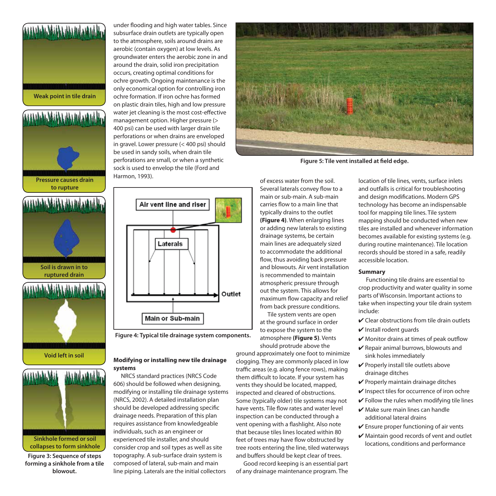**Weak point in tile drain**







**Figure 3: Sequence of steps forming a sinkhole from a tile blowout.**

under flooding and high water tables. Since subsurface drain outlets are typically open to the atmosphere, soils around drains are aerobic (contain oxygen) at low levels. As groundwater enters the aerobic zone in and around the drain, solid iron precipitation occurs, creating optimal conditions for ochre growth. Ongoing maintenance is the only economical option for controlling iron ochre formation. If iron ochre has formed on plastic drain tiles, high and low pressure water jet cleaning is the most cost-effective management option. Higher pressure (> 400 psi) can be used with larger drain tile perforations or when drains are enveloped in gravel. Lower pressure (< 400 psi) should be used in sandy soils, when drain tile perforations are small, or when a synthetic sock is used to envelop the tile (Ford and Harmon, 1993).



**Figure 4: Typical tile drainage system components.**

#### **Modifying or installing new tile drainage systems**

NRCS standard practices (NRCS Code 606) should be followed when designing, modifying or installing tile drainage systems (NRCS, 2002). A detailed installation plan should be developed addressing specific drainage needs. Preparation of this plan requires assistance from knowledgeable individuals, such as an engineer or experienced tile installer, and should consider crop and soil types as well as site topography. A sub-surface drain system is composed of lateral, sub-main and main line piping. Laterals are the initial collectors



**Figure 5: Tile vent installed at field edge.**

of excess water from the soil. Several laterals convey flow to a main or sub-main. A sub-main carries flow to a main line that typically drains to the outlet **(Figure 4)**. When enlarging lines or adding new laterals to existing drainage systems, be certain main lines are adequately sized to accommodate the additional flow, thus avoiding back pressure and blowouts. Air vent installation is recommended to maintain atmospheric pressure through out the system. This allows for maximum flow capacity and relief from back pressure conditions.

Tile system vents are open at the ground surface in order to expose the system to the atmosphere **(Figure 5)**. Vents should protrude above the

ground approximately one foot to minimize clogging. They are commonly placed in low traffic areas (e.g. along fence rows), making them difficult to locate. If your system has vents they should be located, mapped, inspected and cleared of obstructions. Some (typically older) tile systems may not have vents. Tile flow rates and water level inspection can be conducted through a vent opening with a flashlight. Also note that because tiles lines located within 80 feet of trees may have flow obstructed by tree roots entering the line, tiled waterways and buffers should be kept clear of trees.

Good record keeping is an essential part of any drainage maintenance program. The

location of tile lines, vents, surface inlets and outfalls is critical for troubleshooting and design modifications. Modern GPS technology has become an indispensable tool for mapping tile lines. Tile system mapping should be conducted when new tiles are installed and whenever information becomes available for existing systems (e.g. during routine maintenance). Tile location records should be stored in a safe, readily accessible location.

#### **Summary**

Functioning tile drains are essential to crop productivity and water quality in some parts of Wisconsin. Important actions to take when inspecting your tile drain system include:

- $\vee$  Clear obstructions from tile drain outlets
- $\vee$  Install rodent guards
- $\vee$  Monitor drains at times of peak outflow
- $\vee$  Repair animal burrows, blowouts and sink holes immediately
- $\checkmark$  Properly install tile outlets above drainage ditches
- ✔ Properly maintain drainage ditches
- $\vee$  Inspect tiles for occurrence of iron ochre
- $\checkmark$  Follow the rules when modifying tile lines
- $\mathcal V$  Make sure main lines can handle additional lateral drains
- $\vee$  Ensure proper functioning of air vents
- $\boldsymbol{\nu}$  Maintain good records of vent and outlet locations, conditions and performance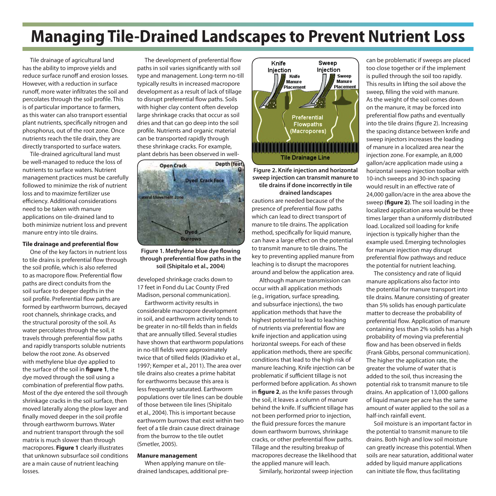## **Managing Tile-Drained Landscapes to Prevent Nutrient Loss**

Tile drainage of agricultural land has the ability to improve yields and reduce surface runoff and erosion losses. However, with a reduction in surface runoff, more water infiltrates the soil and percolates through the soil profile. This is of particular importance to farmers, as this water can also transport essential plant nutrients, specifically nitrogen and phosphorus, out of the root zone. Once nutrients reach the tile drain, they are directly transported to surface waters.

Tile-drained agricultural land must be well-managed to reduce the loss of nutrients to surface waters. Nutrient management practices must be carefully followed to minimize the risk of nutrient loss and to maximize fertilizer use efficiency. Additional considerations need to be taken with manure applications on tile-drained land to both minimize nutrient loss and prevent manure entry into tile drains.

#### **Tile drainage and preferential flow**

One of the key factors in nutrient loss to tile drains is preferential flow through the soil profile, which is also referred to as macropore flow. Preferential flow paths are direct conduits from the soil surface to deeper depths in the soil profile. Preferential flow paths are formed by earthworm burrows, decayed root channels, shrinkage cracks, and the structural porosity of the soil. As water percolates through the soil, it travels through preferential flow paths and rapidly transports soluble nutrients below the root zone. As observed with methylene blue dye applied to the surface of the soil in **figure 1**, the dye moved through the soil using a combination of preferential flow paths. Most of the dye entered the soil through shrinkage cracks in the soil surface, then moved laterally along the plow layer and finally moved deeper in the soil profile through earthworm burrows. Water and nutrient transport through the soil matrix is much slower than through macropores. **Figure 1** clearly illustrates that unknown subsurface soil conditions are a main cause of nutrient leaching losses.

The development of preferential flow paths in soil varies significantly with soil type and management. Long-term no-till typically results in increased macropore development as a result of lack of tillage to disrupt preferential flow paths. Soils with higher clay content often develop large shrinkage cracks that occur as soil dries and that can go deep into the soil profile. Nutrients and organic material can be transported rapidly through these shrinkage cracks. For example, plant debris has been observed in well-



**Figure 1. Methylene blue dye flowing through preferential flow paths in the soil (Shipitalo et al., 2004)**

developed shrinkage cracks down to 17 feet in Fond du Lac County (Fred Madison, personal communication).

Earthworm activity results in considerable macropore development in soil, and earthworm activity tends to be greater in no-till fields than in fields that are annually tilled. Several studies have shown that earthworm populations in no-till fields were approximately twice that of tilled fields (Kladivko et al., 1997; Kemper et al., 2011). The area over tile drains also creates a prime habitat for earthworms because this area is less frequently saturated. Earthworm populations over tile lines can be double of those between tile lines (Shipitalo et al., 2004). This is important because earthworm burrows that exist within two feet of a tile drain cause direct drainage from the burrow to the tile outlet (Smetler, 2005).

#### **Manure management**

When applying manure on tiledrained landscapes, additional pre-



**Figure 2. Knife injection and horizontal sweep injection can transmit manure to tile drains if done incorrectly in tile drained landscapes**

cautions are needed because of the presence of preferential flow paths which can lead to direct transport of manure to tile drains. The application method, specifically for liquid manure, can have a large effect on the potential to transmit manure to tile drains. The key to preventing applied manure from leaching is to disrupt the macropores around and below the application area.

Although manure transmission can occur with all application methods (e.g., irrigation, surface spreading, and subsurface injections), the two application methods that have the highest potential to lead to leaching of nutrients via preferential flow are knife injection and application using horizontal sweeps. For each of these application methods, there are specific conditions that lead to the high risk of manure leaching. Knife injection can be problematic if sufficient tillage is not performed before application. As shown in **figure 2**, as the knife passes through the soil, it leaves a column of manure behind the knife. If sufficient tillage has not been performed prior to injection, the fluid pressure forces the manure down earthworm burrows, shrinkage cracks, or other preferential flow paths. Tillage and the resulting breakup of macropores decrease the likelihood that the applied manure will leach.

Similarly, horizontal sweep injection

can be problematic if sweeps are placed too close together or if the implement is pulled through the soil too rapidly. This results in lifting the soil above the sweep, filling the void with manure. As the weight of the soil comes down on the manure, it may be forced into preferential flow paths and eventually into the tile drains (figure 2). Increasing the spacing distance between knife and sweep injectors increases the loading of manure in a localized area near the injection zone. For example, an 8,000 gallon/acre application made using a horizontal sweep injection toolbar with 10-inch sweeps and 30-inch spacing would result in an effective rate of 24,000 gallon/acre in the area above the sweep **(figure 2)**. The soil loading in the localized application area would be three times larger than a uniformly distributed load. Localized soil loading for knife injection is typically higher than the example used. Emerging technologies for manure injection may disrupt preferential flow pathways and reduce the potential for nutrient leaching.

The consistency and rate of liquid manure applications also factor into the potential for manure transport into tile drains. Manure consisting of greater than 5% solids has enough particulate matter to decrease the probability of preferential flow. Application of manure containing less than 2% solids has a high probability of moving via preferential flow and has been observed in fields (Frank Gibbs, personal communication). The higher the application rate, the greater the volume of water that is added to the soil, thus increasing the potential risk to transmit manure to tile drains. An application of 13,000 gallons of liquid manure per acre has the same amount of water applied to the soil as a half-inch rainfall event.

Soil moisture is an important factor in the potential to transmit manure to tile drains. Both high and low soil moisture can greatly increase this potential. When soils are near saturation, additional water added by liquid manure applications can initiate tile flow, thus facilitating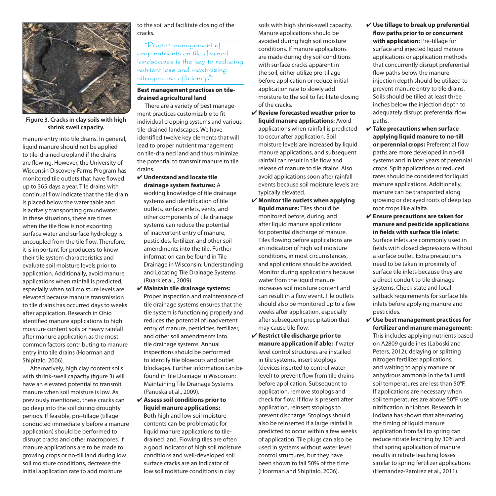

**Figure 3. Cracks in clay soils with high shrink swell capacity.**

manure entry into tile drains. In general, liquid manure should not be applied to tile-drained cropland if the drains are flowing. However, the University of Wisconsin Discovery Farms Program has monitored tile outlets that have flowed up to 365 days a year. Tile drains with continual flow indicate that the tile drain is placed below the water table and is actively transporting groundwater. In these situations, there are times when the tile flow is not exporting surface water and surface hydrology is uncoupled from the tile flow. Therefore, it is important for producers to know their tile system characteristics and evaluate soil moisture levels prior to application. Additionally, avoid manure applications when rainfall is predicted, especially when soil moisture levels are elevated because manure transmission to tile drains has occurred days to weeks after application. Research in Ohio identified manure applications to high moisture content soils or heavy rainfall after manure application as the most common factors contributing to manure entry into tile drains (Hoorman and Shipitalo, 2006).

Alternatively, high clay content soils with shrink-swell capacity (figure 3) will have an elevated potential to transmit manure when soil moisture is low. As previously mentioned, these cracks can go deep into the soil during droughty periods. If feasible, pre-tillage (tillage conducted immediately before a manure application) should be performed to disrupt cracks and other macropores. If manure applications are to be made to growing crops or no-till land during low soil moisture conditions, decrease the initial application rate to add moisture

#### to the soil and facilitate closing of the cracks.

"Proper management of crop nutrients on tile drained landscapes is the key to reducing nutrient loss and maximizing nitrogen use efficiency.""

#### **Best management practices on tiledrained agricultural land**

There are a variety of best management practices customizable to fit individual cropping systems and various tile-drained landscapes. We have identified twelve key elements that will lead to proper nutrient management on tile-drained land and thus minimize the potential to transmit manure to tile drains.

- ✔ **Understand and locate tile drainage system features:** A working knowledge of tile drainage systems and identification of tile outlets, surface inlets, vents, and other components of tile drainage systems can reduce the potential of inadvertent entry of manure, pesticides, fertilizer, and other soil amendments into the tile. Further information can be found in Tile Drainage in Wisconsin: Understanding and Locating Tile Drainage Systems (Ruark et al., 2009).
- ✔ **Maintain tile drainage systems:**  Proper inspection and maintenance of tile drainage systems ensures that the tile system is functioning properly and reduces the potential of inadvertent entry of manure, pesticides, fertilizer, and other soil amendments into tile drainage systems. Annual inspections should be performed to identify tile blowouts and outlet blockages. Further information can be found in Tile Drainage in Wisconsin: Maintaining Tile Drainage Systems (Panuska et al., 2009).
- ✔ **Assess soil conditions prior to liquid manure applications:**  Both high and low soil moisture contents can be problematic for liquid manure applications to tiledrained land. Flowing tiles are often a good indicator of high soil moisture conditions and well-developed soil surface cracks are an indicator of low soil moisture conditions in clay

soils with high shrink-swell capacity. Manure applications should be avoided during high soil moisture conditions. If manure applications are made during dry soil conditions with surface cracks apparent in the soil, either utilize pre-tillage before application or reduce initial application rate to slowly add moisture to the soil to facilitate closing of the cracks.

- ✔ **Review forecasted weather prior to liquid manure applications:** Avoid applications when rainfall is predicted to occur after application. Soil moisture levels are increased by liquid manure applications, and subsequent rainfall can result in tile flow and release of manure to tile drains. Also avoid applications soon after rainfall events because soil moisture levels are typically elevated.
- ✔ **Monitor tile outlets when applying liquid manure:** Tiles should be monitored before, during, and after liquid manure applications for potential discharge of manure. Tiles flowing before applications are an indication of high soil moisture conditions, in most circumstances, and applications should be avoided. Monitor during applications because water from the liquid manure increases soil moisture content and can result in a flow event. Tile outlets should also be monitored up to a few weeks after application, especially after subsequent precipitation that may cause tile flow.
- ✔ **Restrict tile discharge prior to manure application if able:** If water level control structures are installed in tile systems, insert stoplogs (devices inserted to control water level) to prevent flow from tile drains before application. Subsequent to application, remove stoplogs and check for flow. If flow is present after application, reinsert stoplogs to prevent discharge. Stoplogs should also be reinserted if a large rainfall is predicted to occur within a few weeks of application. Tile plugs can also be used in systems without water level control structures, but they have been shown to fail 50% of the time (Hoorman and Shipitalo, 2006).
- ✔ **Use tillage to break up preferential flow paths prior to or concurrent with application:** Pre-tillage for surface and injected liquid manure applications or application methods that concurrently disrupt preferential flow paths below the manure injection depth should be utilized to prevent manure entry to tile drains. Soils should be tilled at least three inches below the injection depth to adequately disrupt preferential flow paths.
- ✔ **Take precautions when surface applying liquid manure to no-till or perennial crops:** Preferential flow paths are more developed in no-till systems and in later years of perennial crops. Split applications or reduced rates should be considered for liquid manure applications. Additionally, manure can be transported along growing or decayed roots of deep tap root crops like alfalfa.
- ✔ **Ensure precautions are taken for manure and pesticide applications in fields with surface tile inlets:** Surface inlets are commonly used in fields with closed depressions without a surface outlet. Extra precautions need to be taken in proximity of surface tile inlets because they are a direct conduit to tile drainage systems. Check state and local setback requirements for surface tile inlets before applying manure and pesticides.
- ✔ **Use best management practices for fertilizer and manure management:**  This includes applying nutrients based on A2809 guidelines (Laboski and Peters, 2012), delaying or splitting nitrogen fertilizer applications, and waiting to apply manure or anhydrous ammonia in the fall until soil temperatures are less than 50°F. If applications are necessary when soil temperatures are above 50°F, use nitrification inhibitors. Research in Indiana has shown that alternating the timing of liquid manure application from fall to spring can reduce nitrate leaching by 30% and that spring application of manure results in nitrate leaching losses similar to spring fertilizer applications (Hernandez-Ramirez et al., 2011).